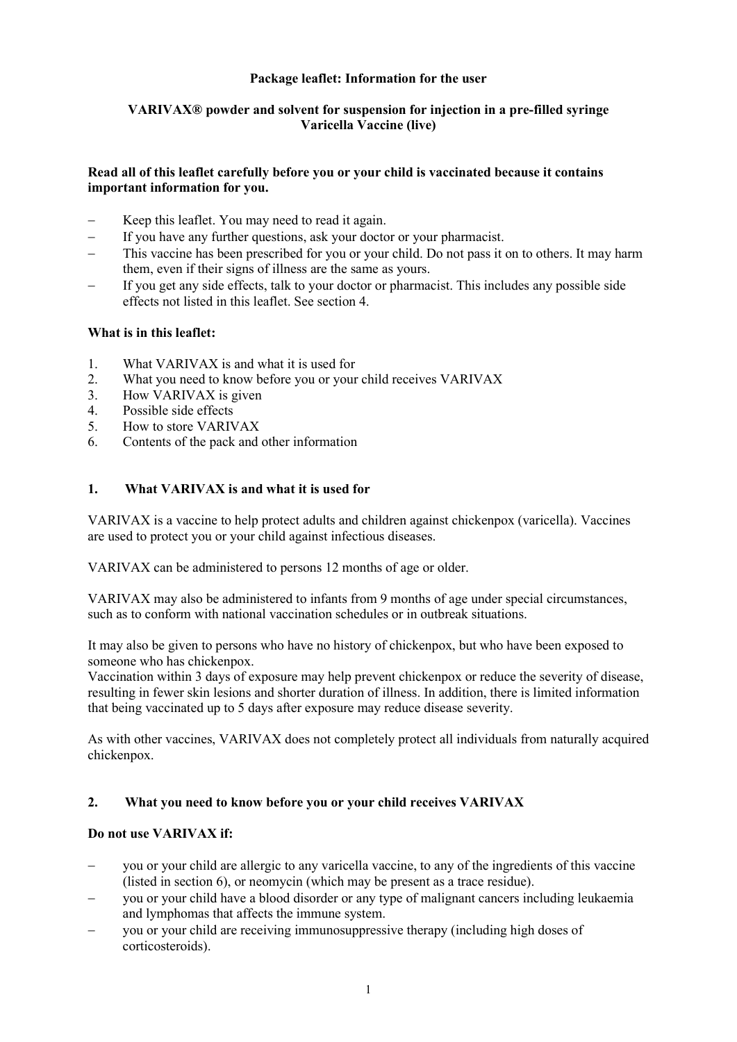# **Package leaflet: Information for the user**

# **VARIVAX® powder and solvent for suspension for injection in a pre-filled syringe Varicella Vaccine (live)**

# **Read all of this leaflet carefully before you or your child is vaccinated because it contains important information for you.**

- Keep this leaflet. You may need to read it again.
- If you have any further questions, ask your doctor or your pharmacist.
- − This vaccine has been prescribed for you or your child. Do not pass it on to others. It may harm them, even if their signs of illness are the same as yours.
- If you get any side effects, talk to your doctor or pharmacist. This includes any possible side effects not listed in this leaflet. See section 4.

# **What is in this leaflet:**

- 1. What VARIVAX is and what it is used for<br>2. What you need to know before you or your
- 2. What you need to know before you or your child receives VARIVAX<br>3. How VARIVAX is given
- How VARIVAX is given
- 4. Possible side effects
- 5. How to store VARIVAX
- 6. Contents of the pack and other information

# **1. What VARIVAX is and what it is used for**

VARIVAX is a vaccine to help protect adults and children against chickenpox (varicella). Vaccines are used to protect you or your child against infectious diseases.

VARIVAX can be administered to persons 12 months of age or older.

VARIVAX may also be administered to infants from 9 months of age under special circumstances, such as to conform with national vaccination schedules or in outbreak situations.

It may also be given to persons who have no history of chickenpox, but who have been exposed to someone who has chickenpox.

Vaccination within 3 days of exposure may help prevent chickenpox or reduce the severity of disease, resulting in fewer skin lesions and shorter duration of illness. In addition, there is limited information that being vaccinated up to 5 days after exposure may reduce disease severity.

As with other vaccines, VARIVAX does not completely protect all individuals from naturally acquired chickenpox.

### **2. What you need to know before you or your child receives VARIVAX**

### **Do not use VARIVAX if:**

- you or your child are allergic to any varicella vaccine, to any of the ingredients of this vaccine (listed in section 6), or neomycin (which may be present as a trace residue).
- you or your child have a blood disorder or any type of malignant cancers including leukaemia and lymphomas that affects the immune system.
- you or your child are receiving immunosuppressive therapy (including high doses of corticosteroids).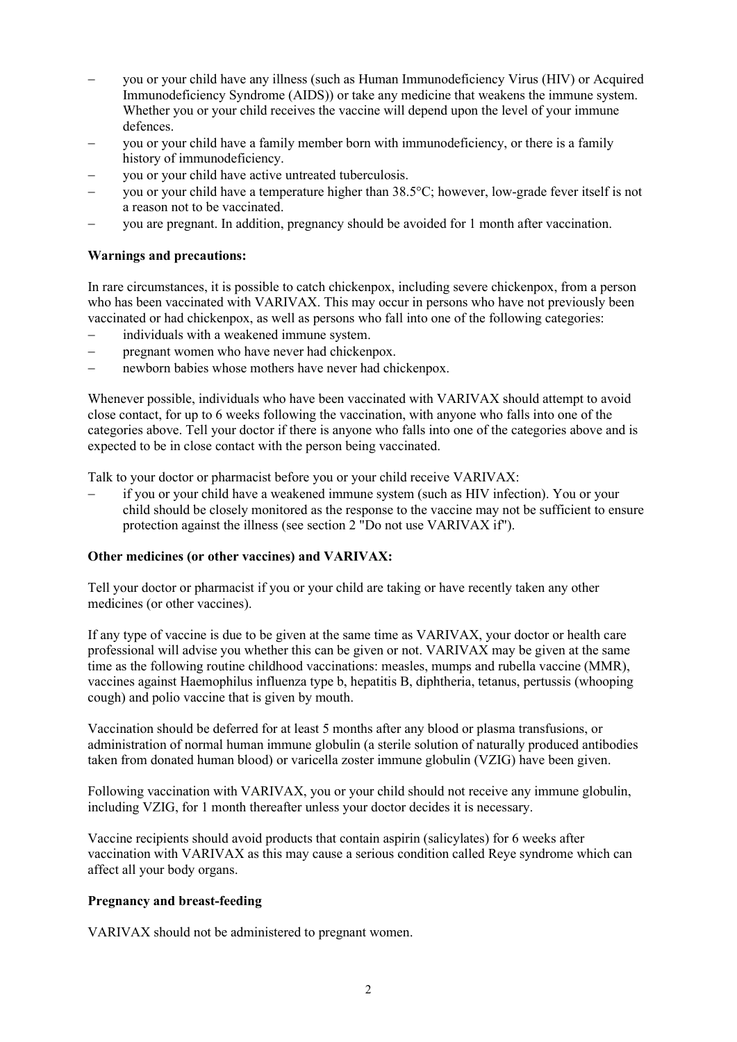- − you or your child have any illness (such as Human Immunodeficiency Virus (HIV) or Acquired Immunodeficiency Syndrome (AIDS)) or take any medicine that weakens the immune system. Whether you or your child receives the vaccine will depend upon the level of your immune defences.
- − you or your child have a family member born with immunodeficiency, or there is a family history of immunodeficiency.
- you or your child have active untreated tuberculosis.
- you or your child have a temperature higher than 38.5°C; however, low-grade fever itself is not a reason not to be vaccinated.
- − you are pregnant. In addition, pregnancy should be avoided for 1 month after vaccination.

# **Warnings and precautions:**

In rare circumstances, it is possible to catch chickenpox, including severe chickenpox, from a person who has been vaccinated with VARIVAX. This may occur in persons who have not previously been vaccinated or had chickenpox, as well as persons who fall into one of the following categories:

- individuals with a weakened immune system.
- − pregnant women who have never had chickenpox.
- newborn babies whose mothers have never had chickenpox.

Whenever possible, individuals who have been vaccinated with VARIVAX should attempt to avoid close contact, for up to 6 weeks following the vaccination, with anyone who falls into one of the categories above. Tell your doctor if there is anyone who falls into one of the categories above and is expected to be in close contact with the person being vaccinated.

Talk to your doctor or pharmacist before you or your child receive VARIVAX:

− if you or your child have a weakened immune system (such as HIV infection). You or your child should be closely monitored as the response to the vaccine may not be sufficient to ensure protection against the illness (see section 2 "Do not use VARIVAX if").

## **Other medicines (or other vaccines) and VARIVAX:**

Tell your doctor or pharmacist if you or your child are taking or have recently taken any other medicines (or other vaccines).

If any type of vaccine is due to be given at the same time as VARIVAX, your doctor or health care professional will advise you whether this can be given or not. VARIVAX may be given at the same time as the following routine childhood vaccinations: measles, mumps and rubella vaccine (MMR), vaccines against Haemophilus influenza type b, hepatitis B, diphtheria, tetanus, pertussis (whooping cough) and polio vaccine that is given by mouth.

Vaccination should be deferred for at least 5 months after any blood or plasma transfusions, or administration of normal human immune globulin (a sterile solution of naturally produced antibodies taken from donated human blood) or varicella zoster immune globulin (VZIG) have been given.

Following vaccination with VARIVAX, you or your child should not receive any immune globulin, including VZIG, for 1 month thereafter unless your doctor decides it is necessary.

Vaccine recipients should avoid products that contain aspirin (salicylates) for 6 weeks after vaccination with VARIVAX as this may cause a serious condition called Reye syndrome which can affect all your body organs.

# **Pregnancy and breast-feeding**

VARIVAX should not be administered to pregnant women.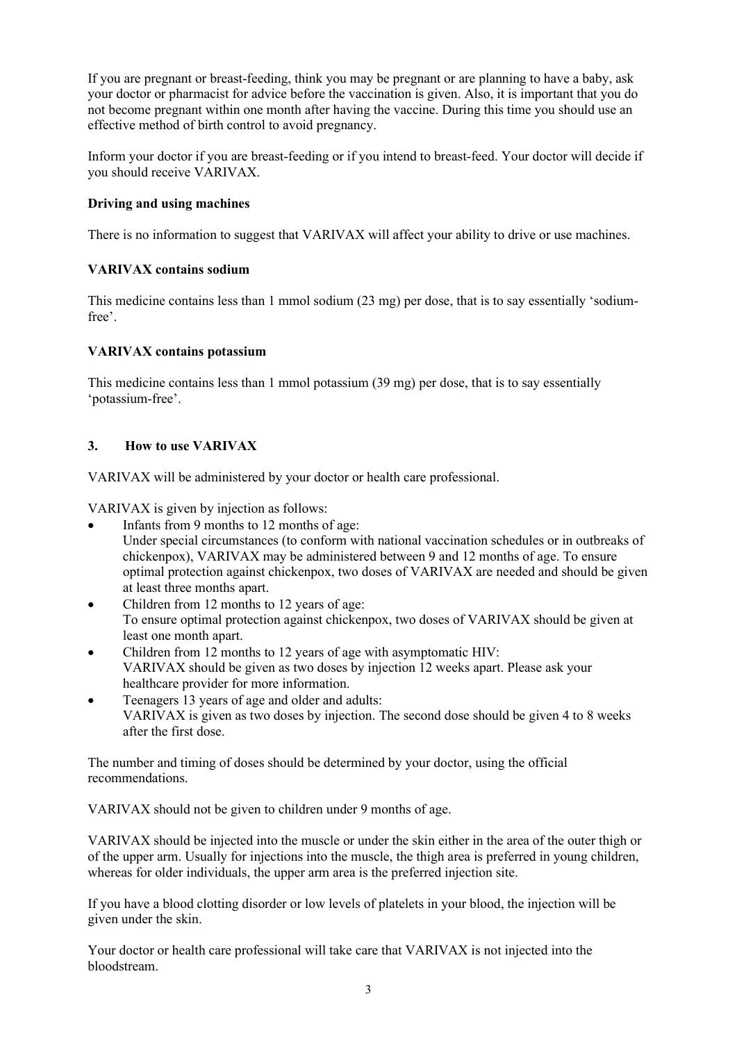If you are pregnant or breast-feeding, think you may be pregnant or are planning to have a baby, ask your doctor or pharmacist for advice before the vaccination is given. Also, it is important that you do not become pregnant within one month after having the vaccine. During this time you should use an effective method of birth control to avoid pregnancy.

Inform your doctor if you are breast-feeding or if you intend to breast-feed. Your doctor will decide if you should receive VARIVAX.

# **Driving and using machines**

There is no information to suggest that VARIVAX will affect your ability to drive or use machines.

# **VARIVAX contains sodium**

This medicine contains less than 1 mmol sodium (23 mg) per dose, that is to say essentially 'sodiumfree'.

# **VARIVAX contains potassium**

This medicine contains less than 1 mmol potassium (39 mg) per dose, that is to say essentially 'potassium-free'.

# **3. How to use VARIVAX**

VARIVAX will be administered by your doctor or health care professional.

VARIVAX is given by injection as follows:

- Infants from 9 months to 12 months of age: Under special circumstances (to conform with national vaccination schedules or in outbreaks of chickenpox), VARIVAX may be administered between 9 and 12 months of age. To ensure optimal protection against chickenpox, two doses of VARIVAX are needed and should be given at least three months apart.
- Children from 12 months to 12 years of age: To ensure optimal protection against chickenpox, two doses of VARIVAX should be given at least one month apart.
- Children from 12 months to 12 years of age with asymptomatic HIV: VARIVAX should be given as two doses by injection 12 weeks apart. Please ask your healthcare provider for more information.
- Teenagers 13 years of age and older and adults: VARIVAX is given as two doses by injection. The second dose should be given 4 to 8 weeks after the first dose.

The number and timing of doses should be determined by your doctor, using the official recommendations.

VARIVAX should not be given to children under 9 months of age.

VARIVAX should be injected into the muscle or under the skin either in the area of the outer thigh or of the upper arm. Usually for injections into the muscle, the thigh area is preferred in young children, whereas for older individuals, the upper arm area is the preferred injection site.

If you have a blood clotting disorder or low levels of platelets in your blood, the injection will be given under the skin.

Your doctor or health care professional will take care that VARIVAX is not injected into the bloodstream.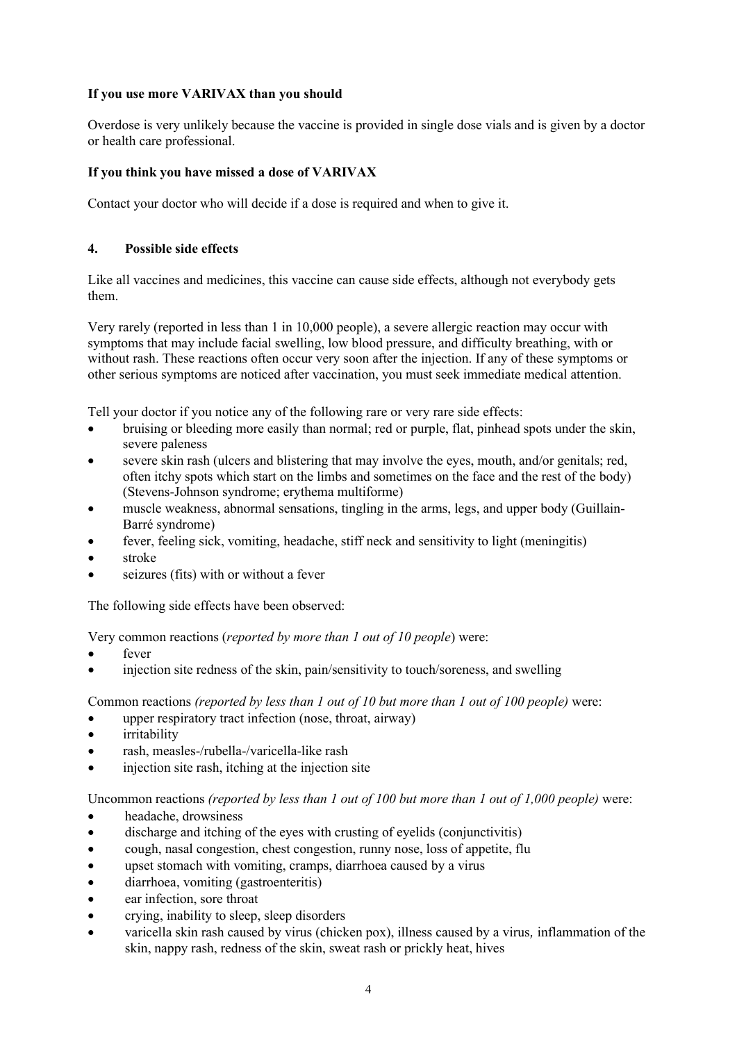# **If you use more VARIVAX than you should**

Overdose is very unlikely because the vaccine is provided in single dose vials and is given by a doctor or health care professional.

# **If you think you have missed a dose of VARIVAX**

Contact your doctor who will decide if a dose is required and when to give it.

# **4. Possible side effects**

Like all vaccines and medicines, this vaccine can cause side effects, although not everybody gets them.

Very rarely (reported in less than 1 in 10,000 people), a severe allergic reaction may occur with symptoms that may include facial swelling, low blood pressure, and difficulty breathing, with or without rash. These reactions often occur very soon after the injection. If any of these symptoms or other serious symptoms are noticed after vaccination, you must seek immediate medical attention.

Tell your doctor if you notice any of the following rare or very rare side effects:

- bruising or bleeding more easily than normal; red or purple, flat, pinhead spots under the skin, severe paleness
- severe skin rash (ulcers and blistering that may involve the eyes, mouth, and/or genitals; red, often itchy spots which start on the limbs and sometimes on the face and the rest of the body) (Stevens-Johnson syndrome; erythema multiforme)
- muscle weakness, abnormal sensations, tingling in the arms, legs, and upper body (Guillain-Barré syndrome)
- fever, feeling sick, vomiting, headache, stiff neck and sensitivity to light (meningitis)
- stroke
- seizures (fits) with or without a fever

The following side effects have been observed:

Very common reactions (*reported by more than 1 out of 10 people*) were:

- fever
- injection site redness of the skin, pain/sensitivity to touch/soreness, and swelling

Common reactions *(reported by less than 1 out of 10 but more than 1 out of 100 people)* were:

- upper respiratory tract infection (nose, throat, airway)
- irritability
- rash, measles-/rubella-/varicella-like rash
- injection site rash, itching at the injection site

Uncommon reactions *(reported by less than 1 out of 100 but more than 1 out of 1,000 people)* were:

- headache, drowsiness
- discharge and itching of the eyes with crusting of eyelids (conjunctivitis)
- cough, nasal congestion, chest congestion, runny nose, loss of appetite, flu
- upset stomach with vomiting, cramps, diarrhoea caused by a virus
- diarrhoea, vomiting (gastroenteritis)
- ear infection, sore throat
- crying, inability to sleep, sleep disorders
- varicella skin rash caused by virus (chicken pox), illness caused by a virus*,* inflammation of the skin, nappy rash, redness of the skin, sweat rash or prickly heat, hives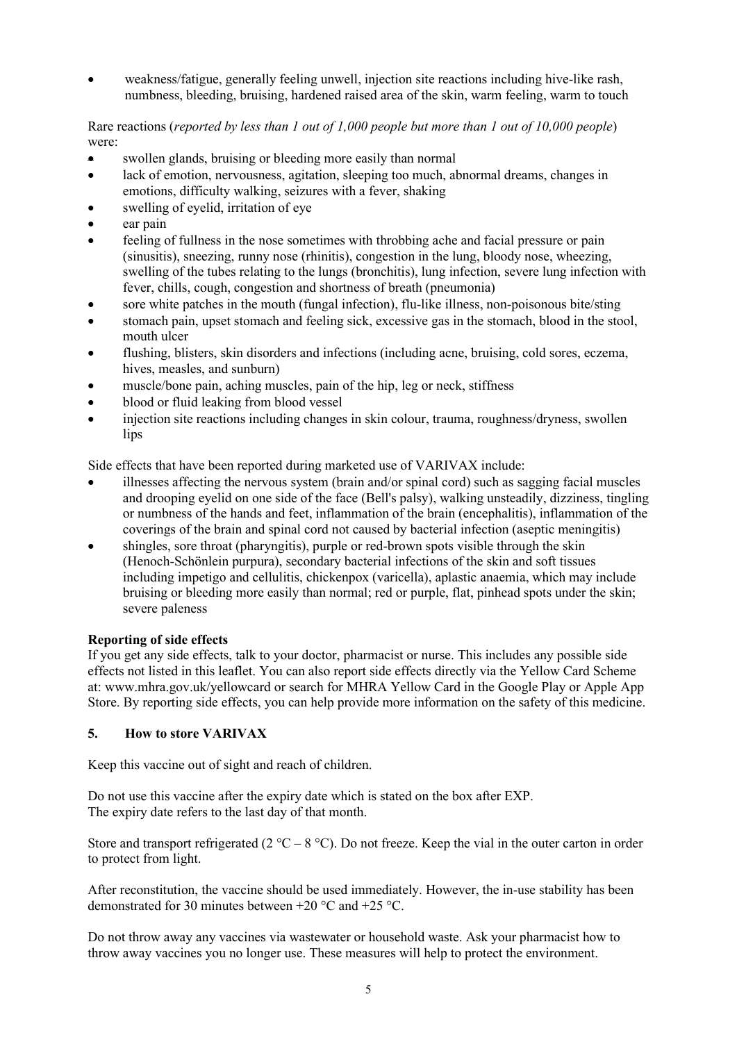• weakness/fatigue, generally feeling unwell, injection site reactions including hive-like rash, numbness, bleeding, bruising, hardened raised area of the skin, warm feeling, warm to touch

Rare reactions (*reported by less than 1 out of 1,000 people but more than 1 out of 10,000 people*) were:

- swollen glands, bruising or bleeding more easily than normal
- lack of emotion, nervousness, agitation, sleeping too much, abnormal dreams, changes in emotions, difficulty walking, seizures with a fever, shaking
- swelling of eyelid, irritation of eye
- ear pain
- feeling of fullness in the nose sometimes with throbbing ache and facial pressure or pain (sinusitis), sneezing, runny nose (rhinitis), congestion in the lung, bloody nose, wheezing, swelling of the tubes relating to the lungs (bronchitis), lung infection, severe lung infection with fever, chills, cough, congestion and shortness of breath (pneumonia)
- sore white patches in the mouth (fungal infection), flu-like illness, non-poisonous bite/sting
- stomach pain, upset stomach and feeling sick, excessive gas in the stomach, blood in the stool, mouth ulcer
- flushing, blisters, skin disorders and infections (including acne, bruising, cold sores, eczema, hives, measles, and sunburn)
- muscle/bone pain, aching muscles, pain of the hip, leg or neck, stiffness
- blood or fluid leaking from blood vessel
- injection site reactions including changes in skin colour, trauma, roughness/dryness, swollen lips

Side effects that have been reported during marketed use of VARIVAX include:

- illnesses affecting the nervous system (brain and/or spinal cord) such as sagging facial muscles and drooping eyelid on one side of the face (Bell's palsy), walking unsteadily, dizziness, tingling or numbness of the hands and feet, inflammation of the brain (encephalitis), inflammation of the coverings of the brain and spinal cord not caused by bacterial infection (aseptic meningitis)
- shingles, sore throat (pharyngitis), purple or red-brown spots visible through the skin (Henoch-Schönlein purpura), secondary bacterial infections of the skin and soft tissues including impetigo and cellulitis, chickenpox (varicella), aplastic anaemia, which may include bruising or bleeding more easily than normal; red or purple, flat, pinhead spots under the skin; severe paleness

### **Reporting of side effects**

If you get any side effects, talk to your doctor, pharmacist or nurse. This includes any possible side effects not listed in this leaflet. You can also report side effects directly via the Yellow Card Scheme at: www.mhra.gov.uk/yellowcard or search for MHRA Yellow Card in the Google Play or Apple App Store. By reporting side effects, you can help provide more information on the safety of this medicine.

### **5. How to store VARIVAX**

Keep this vaccine out of sight and reach of children.

Do not use this vaccine after the expiry date which is stated on the box after EXP. The expiry date refers to the last day of that month.

Store and transport refrigerated (2  $^{\circ}$ C – 8  $^{\circ}$ C). Do not freeze. Keep the vial in the outer carton in order to protect from light.

After reconstitution, the vaccine should be used immediately. However, the in-use stability has been demonstrated for 30 minutes between +20 °C and +25 °C.

Do not throw away any vaccines via wastewater or household waste. Ask your pharmacist how to throw away vaccines you no longer use. These measures will help to protect the environment.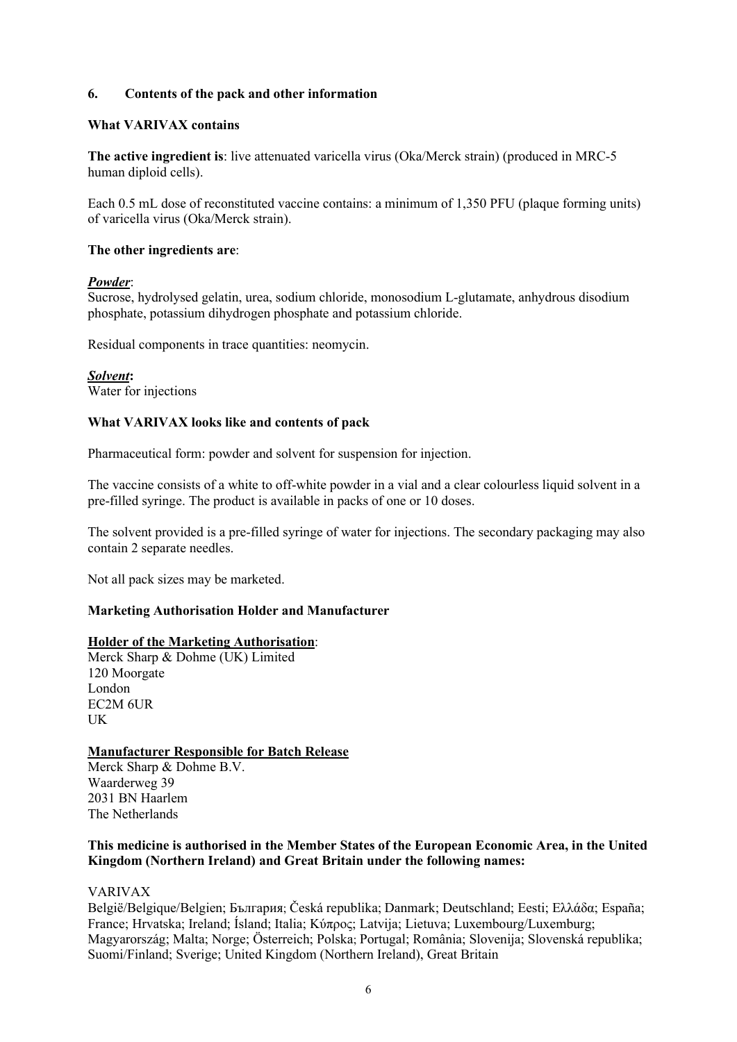# **6. Contents of the pack and other information**

## **What VARIVAX contains**

**The active ingredient is**: live attenuated varicella virus (Oka/Merck strain) (produced in MRC-5 human diploid cells).

Each 0.5 mL dose of reconstituted vaccine contains: a minimum of 1,350 PFU (plaque forming units) of varicella virus (Oka/Merck strain).

### **The other ingredients are**:

### *Powder*:

Sucrose, hydrolysed gelatin, urea, sodium chloride, monosodium L-glutamate, anhydrous disodium phosphate, potassium dihydrogen phosphate and potassium chloride.

Residual components in trace quantities: neomycin.

*Solvent***:** Water for injections

# **What VARIVAX looks like and contents of pack**

Pharmaceutical form: powder and solvent for suspension for injection.

The vaccine consists of a white to off-white powder in a vial and a clear colourless liquid solvent in a pre-filled syringe. The product is available in packs of one or 10 doses.

The solvent provided is a pre-filled syringe of water for injections. The secondary packaging may also contain 2 separate needles.

Not all pack sizes may be marketed.

### **Marketing Authorisation Holder and Manufacturer**

### **Holder of the Marketing Authorisation**:

Merck Sharp & Dohme (UK) Limited 120 Moorgate London EC2M 6UR UK

### **Manufacturer Responsible for Batch Release**

Merck Sharp & Dohme B.V. Waarderweg 39 2031 BN Haarlem The Netherlands

# **This medicine is authorised in the Member States of the European Economic Area, in the United Kingdom (Northern Ireland) and Great Britain under the following names:**

### VARIVAX

België/Belgique/Belgien; България; Česká republika; Danmark; Deutschland; Eesti; Ελλάδα; España; France; Hrvatska; Ireland; Ísland; Italia; Kύπρος; Latvija; Lietuva; Luxembourg/Luxemburg; Magyarország; Malta; Norge; Österreich; Polska; Portugal; România; Slovenija; Slovenská republika; Suomi/Finland; Sverige; United Kingdom (Northern Ireland), Great Britain